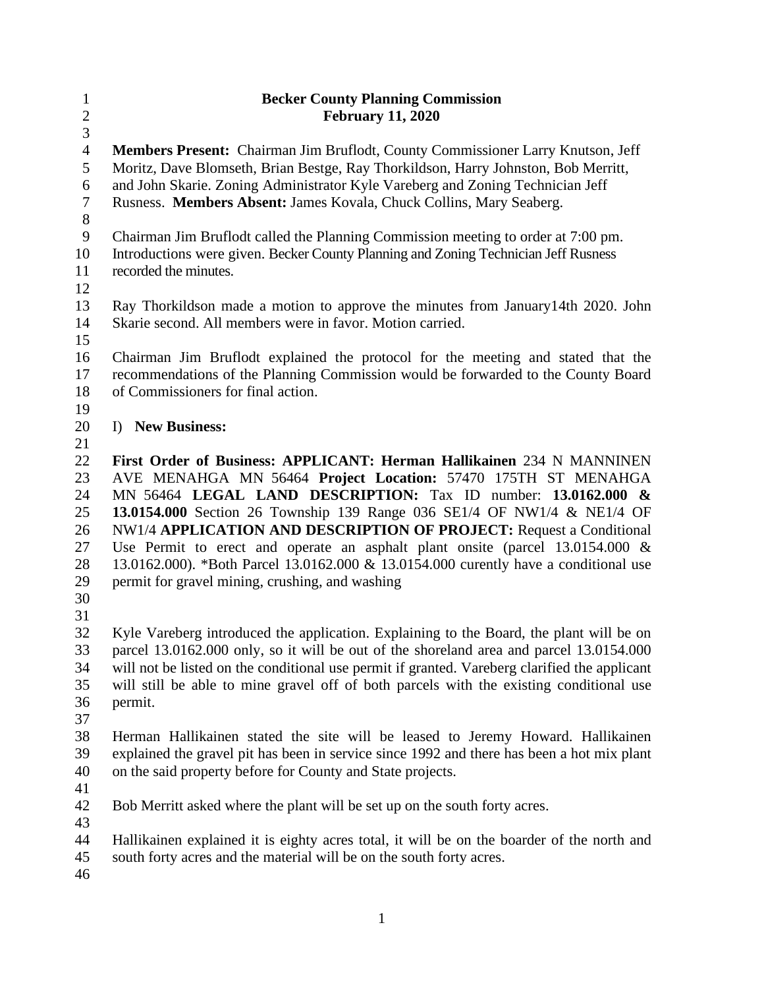| $\mathbf{1}$<br>$\overline{2}$ | <b>Becker County Planning Commission</b><br><b>February 11, 2020</b>                                                                                                  |  |
|--------------------------------|-----------------------------------------------------------------------------------------------------------------------------------------------------------------------|--|
| 3                              |                                                                                                                                                                       |  |
| $\overline{4}$<br>5            | Members Present: Chairman Jim Bruflodt, County Commissioner Larry Knutson, Jeff<br>Moritz, Dave Blomseth, Brian Bestge, Ray Thorkildson, Harry Johnston, Bob Merritt, |  |
| 6                              | and John Skarie. Zoning Administrator Kyle Vareberg and Zoning Technician Jeff                                                                                        |  |
| 7                              | Rusness. Members Absent: James Kovala, Chuck Collins, Mary Seaberg.                                                                                                   |  |
| 8                              |                                                                                                                                                                       |  |
| $\overline{9}$                 | Chairman Jim Bruflodt called the Planning Commission meeting to order at 7:00 pm.                                                                                     |  |
| 10                             | Introductions were given. Becker County Planning and Zoning Technician Jeff Rusness                                                                                   |  |
| 11                             | recorded the minutes.                                                                                                                                                 |  |
| 12                             |                                                                                                                                                                       |  |
| 13                             | Ray Thorkildson made a motion to approve the minutes from January 14th 2020. John                                                                                     |  |
| 14                             | Skarie second. All members were in favor. Motion carried.                                                                                                             |  |
| 15                             |                                                                                                                                                                       |  |
| 16                             | Chairman Jim Bruflodt explained the protocol for the meeting and stated that the                                                                                      |  |
| 17<br>18                       | recommendations of the Planning Commission would be forwarded to the County Board<br>of Commissioners for final action.                                               |  |
| 19                             |                                                                                                                                                                       |  |
| 20                             | I) New Business:                                                                                                                                                      |  |
| 21                             |                                                                                                                                                                       |  |
| 22                             | First Order of Business: APPLICANT: Herman Hallikainen 234 N MANNINEN                                                                                                 |  |
| 23                             | AVE MENAHGA MN 56464 Project Location: 57470 175TH ST MENAHGA                                                                                                         |  |
| 24                             | MN 56464 LEGAL LAND DESCRIPTION: Tax ID number: 13.0162.000 &                                                                                                         |  |
| 25                             | 13.0154.000 Section 26 Township 139 Range 036 SE1/4 OF NW1/4 & NE1/4 OF                                                                                               |  |
| 26                             | NW1/4 APPLICATION AND DESCRIPTION OF PROJECT: Request a Conditional                                                                                                   |  |
| 27                             | Use Permit to erect and operate an asphalt plant onsite (parcel $13.0154.000 \&$                                                                                      |  |
| 28                             | 13.0162.000). *Both Parcel 13.0162.000 & 13.0154.000 curently have a conditional use                                                                                  |  |
| 29                             | permit for gravel mining, crushing, and washing                                                                                                                       |  |
| 30<br>31                       |                                                                                                                                                                       |  |
| 32                             | Kyle Vareberg introduced the application. Explaining to the Board, the plant will be on                                                                               |  |
| 33                             | parcel 13.0162.000 only, so it will be out of the shoreland area and parcel 13.0154.000                                                                               |  |
| 34                             | will not be listed on the conditional use permit if granted. Vareberg clarified the applicant                                                                         |  |
| 35                             | will still be able to mine gravel off of both parcels with the existing conditional use                                                                               |  |
| 36                             | permit.                                                                                                                                                               |  |
| 37                             |                                                                                                                                                                       |  |
| 38                             | Herman Hallikainen stated the site will be leased to Jeremy Howard. Hallikainen                                                                                       |  |
| 39                             | explained the gravel pit has been in service since 1992 and there has been a hot mix plant                                                                            |  |
| 40                             | on the said property before for County and State projects.                                                                                                            |  |
| 41                             |                                                                                                                                                                       |  |
| 42<br>43                       | Bob Merritt asked where the plant will be set up on the south forty acres.                                                                                            |  |
| 44                             | Hallikainen explained it is eighty acres total, it will be on the boarder of the north and                                                                            |  |
| 45                             | south forty acres and the material will be on the south forty acres.                                                                                                  |  |
| 46                             |                                                                                                                                                                       |  |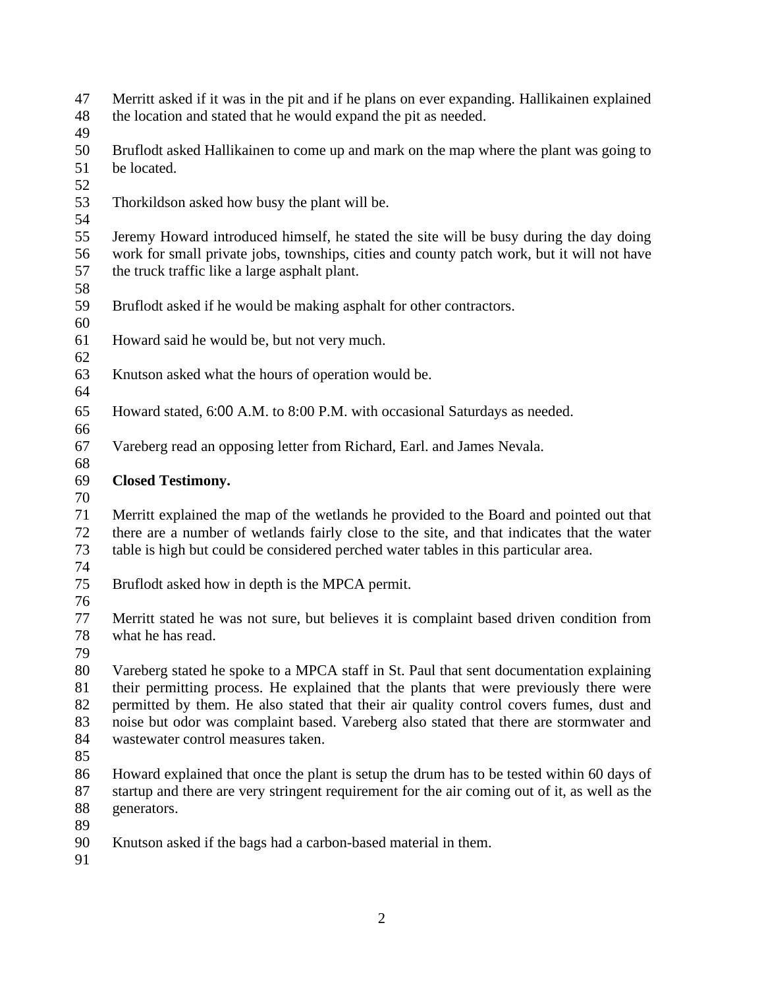Merritt asked if it was in the pit and if he plans on ever expanding. Hallikainen explained the location and stated that he would expand the pit as needed.

 Bruflodt asked Hallikainen to come up and mark on the map where the plant was going to be located.

Thorkildson asked how busy the plant will be.

 Jeremy Howard introduced himself, he stated the site will be busy during the day doing work for small private jobs, townships, cities and county patch work, but it will not have the truck traffic like a large asphalt plant.

- 
- Bruflodt asked if he would be making asphalt for other contractors.
- Howard said he would be, but not very much.
- Knutson asked what the hours of operation would be.
- 
- Howard stated, 6:00 A.M. to 8:00 P.M. with occasional Saturdays as needed.
- Vareberg read an opposing letter from Richard, Earl. and James Nevala.
- **Closed Testimony.**
- 

 Merritt explained the map of the wetlands he provided to the Board and pointed out that there are a number of wetlands fairly close to the site, and that indicates that the water table is high but could be considered perched water tables in this particular area.

Bruflodt asked how in depth is the MPCA permit.

- 
- Merritt stated he was not sure, but believes it is complaint based driven condition from what he has read.
- 

 Vareberg stated he spoke to a MPCA staff in St. Paul that sent documentation explaining their permitting process. He explained that the plants that were previously there were permitted by them. He also stated that their air quality control covers fumes, dust and noise but odor was complaint based. Vareberg also stated that there are stormwater and wastewater control measures taken.

 Howard explained that once the plant is setup the drum has to be tested within 60 days of startup and there are very stringent requirement for the air coming out of it, as well as the generators.

- 
- Knutson asked if the bags had a carbon-based material in them.
-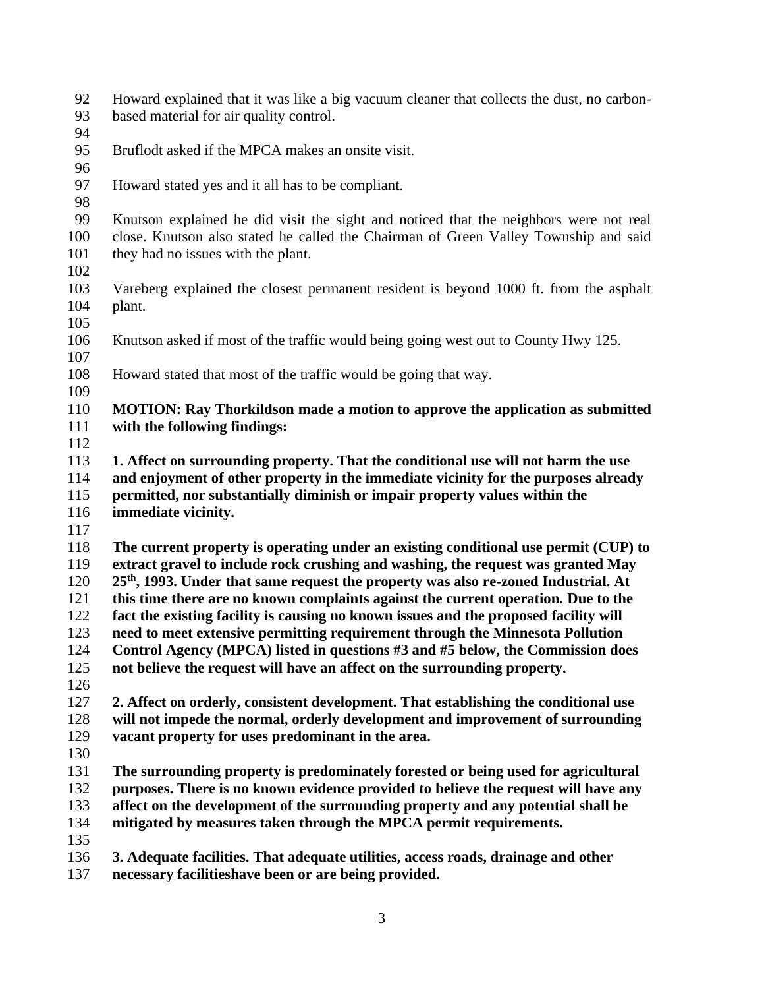- Howard explained that it was like a big vacuum cleaner that collects the dust, no carbon-based material for air quality control.
- 
- Bruflodt asked if the MPCA makes an onsite visit.
- 
- Howard stated yes and it all has to be compliant.
- 

 Knutson explained he did visit the sight and noticed that the neighbors were not real close. Knutson also stated he called the Chairman of Green Valley Township and said they had no issues with the plant.

- 
- Vareberg explained the closest permanent resident is beyond 1000 ft. from the asphalt plant.
- 
- Knutson asked if most of the traffic would being going west out to County Hwy 125.
- Howard stated that most of the traffic would be going that way.
- 
- **MOTION: Ray Thorkildson made a motion to approve the application as submitted with the following findings:**
- 

 **1. Affect on surrounding property. That the conditional use will not harm the use and enjoyment of other property in the immediate vicinity for the purposes already permitted, nor substantially diminish or impair property values within the immediate vicinity.**

 **The current property is operating under an existing conditional use permit (CUP) to extract gravel to include rock crushing and washing, the request was granted May th , 1993. Under that same request the property was also re-zoned Industrial. At this time there are no known complaints against the current operation. Due to the** 

**fact the existing facility is causing no known issues and the proposed facility will** 

**need to meet extensive permitting requirement through the Minnesota Pollution** 

**Control Agency (MPCA) listed in questions #3 and #5 below, the Commission does** 

**not believe the request will have an affect on the surrounding property.** 

 **2. Affect on orderly, consistent development. That establishing the conditional use will not impede the normal, orderly development and improvement of surrounding vacant property for uses predominant in the area.**

 **The surrounding property is predominately forested or being used for agricultural purposes. There is no known evidence provided to believe the request will have any affect on the development of the surrounding property and any potential shall be mitigated by measures taken through the MPCA permit requirements.**

**3. Adequate facilities. That adequate utilities, access roads, drainage and other** 

**necessary facilitieshave been or are being provided.**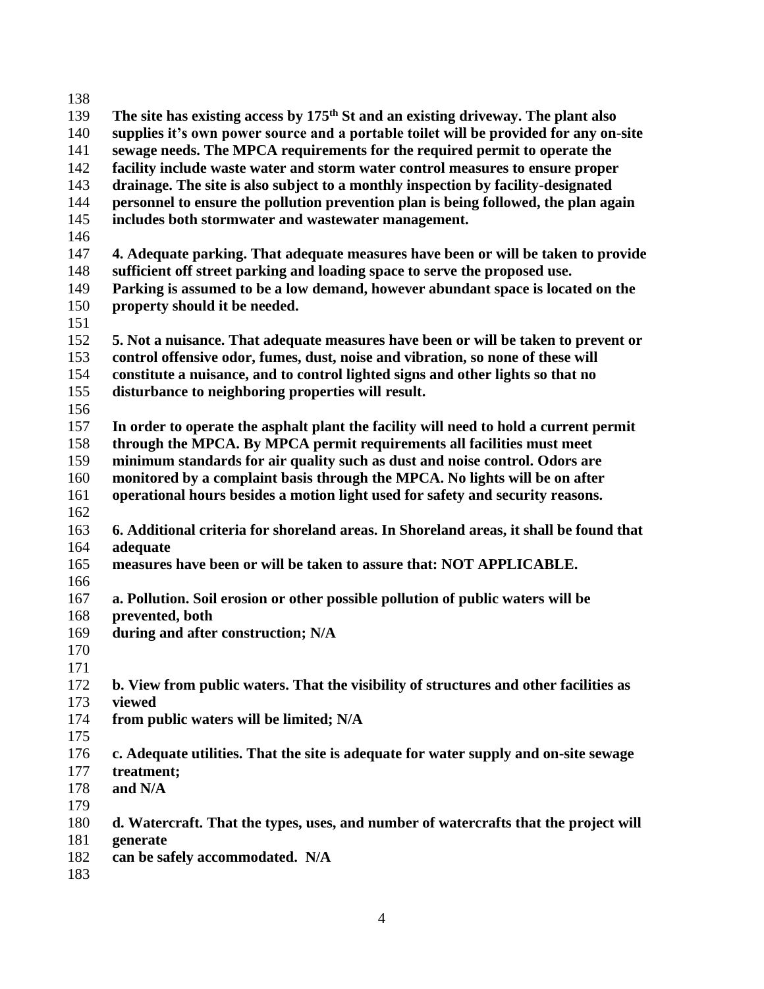| 138 |                                                                                        |  |  |  |
|-----|----------------------------------------------------------------------------------------|--|--|--|
| 139 | The site has existing access by $175th$ St and an existing driveway. The plant also    |  |  |  |
| 140 | supplies it's own power source and a portable toilet will be provided for any on-site  |  |  |  |
| 141 | sewage needs. The MPCA requirements for the required permit to operate the             |  |  |  |
| 142 | facility include waste water and storm water control measures to ensure proper         |  |  |  |
| 143 | drainage. The site is also subject to a monthly inspection by facility-designated      |  |  |  |
| 144 | personnel to ensure the pollution prevention plan is being followed, the plan again    |  |  |  |
| 145 | includes both stormwater and wastewater management.                                    |  |  |  |
| 146 |                                                                                        |  |  |  |
| 147 | 4. Adequate parking. That adequate measures have been or will be taken to provide      |  |  |  |
| 148 | sufficient off street parking and loading space to serve the proposed use.             |  |  |  |
| 149 | Parking is assumed to be a low demand, however abundant space is located on the        |  |  |  |
| 150 | property should it be needed.                                                          |  |  |  |
| 151 |                                                                                        |  |  |  |
| 152 | 5. Not a nuisance. That adequate measures have been or will be taken to prevent or     |  |  |  |
| 153 | control offensive odor, fumes, dust, noise and vibration, so none of these will        |  |  |  |
| 154 | constitute a nuisance, and to control lighted signs and other lights so that no        |  |  |  |
| 155 | disturbance to neighboring properties will result.                                     |  |  |  |
| 156 |                                                                                        |  |  |  |
| 157 | In order to operate the asphalt plant the facility will need to hold a current permit  |  |  |  |
| 158 | through the MPCA. By MPCA permit requirements all facilities must meet                 |  |  |  |
| 159 | minimum standards for air quality such as dust and noise control. Odors are            |  |  |  |
| 160 | monitored by a complaint basis through the MPCA. No lights will be on after            |  |  |  |
| 161 | operational hours besides a motion light used for safety and security reasons.         |  |  |  |
| 162 |                                                                                        |  |  |  |
| 163 | 6. Additional criteria for shoreland areas. In Shoreland areas, it shall be found that |  |  |  |
| 164 | adequate                                                                               |  |  |  |
| 165 | measures have been or will be taken to assure that: NOT APPLICABLE.                    |  |  |  |
| 166 |                                                                                        |  |  |  |
| 167 | a. Pollution. Soil erosion or other possible pollution of public waters will be        |  |  |  |
| 168 | prevented, both                                                                        |  |  |  |
| 169 | during and after construction; N/A                                                     |  |  |  |
| 170 |                                                                                        |  |  |  |
| 171 |                                                                                        |  |  |  |
| 172 | b. View from public waters. That the visibility of structures and other facilities as  |  |  |  |
| 173 | viewed                                                                                 |  |  |  |
| 174 | from public waters will be limited; N/A                                                |  |  |  |
| 175 |                                                                                        |  |  |  |
| 176 | c. Adequate utilities. That the site is adequate for water supply and on-site sewage   |  |  |  |
| 177 | treatment;                                                                             |  |  |  |
| 178 | and N/A                                                                                |  |  |  |
| 179 |                                                                                        |  |  |  |
| 180 | d. Watercraft. That the types, uses, and number of watercrafts that the project will   |  |  |  |
| 181 | generate                                                                               |  |  |  |
| 182 | can be safely accommodated. N/A                                                        |  |  |  |
| 183 |                                                                                        |  |  |  |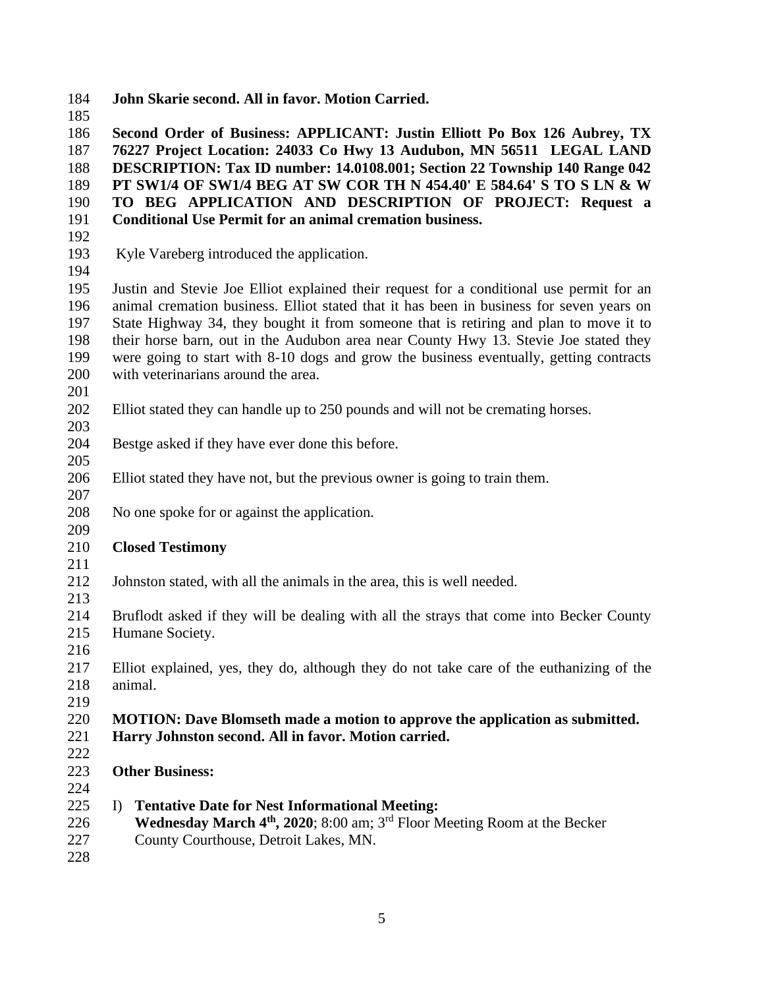**John Skarie second. All in favor. Motion Carried.**

 **Second Order of Business: APPLICANT: Justin Elliott Po Box 126 Aubrey, TX 76227 Project Location: 24033 Co Hwy 13 Audubon, MN 56511 LEGAL LAND DESCRIPTION: Tax ID number: 14.0108.001; Section 22 Township 140 Range 042 PT SW1/4 OF SW1/4 BEG AT SW COR TH N 454.40' E 584.64' S TO S LN & W TO BEG APPLICATION AND DESCRIPTION OF PROJECT: Request a Conditional Use Permit for an animal cremation business.**

- 
- Kyle Vareberg introduced the application.
- 

 Justin and Stevie Joe Elliot explained their request for a conditional use permit for an animal cremation business. Elliot stated that it has been in business for seven years on State Highway 34, they bought it from someone that is retiring and plan to move it to their horse barn, out in the Audubon area near County Hwy 13. Stevie Joe stated they were going to start with 8-10 dogs and grow the business eventually, getting contracts with veterinarians around the area.

- 
- Elliot stated they can handle up to 250 pounds and will not be cremating horses.
- Bestge asked if they have ever done this before.
- 
- Elliot stated they have not, but the previous owner is going to train them.
- 
- No one spoke for or against the application.

## **Closed Testimony**

- 
- Johnston stated, with all the animals in the area, this is well needed.
- 
- Bruflodt asked if they will be dealing with all the strays that come into Becker County Humane Society.
- 
- Elliot explained, yes, they do, although they do not take care of the euthanizing of the animal.
- 

## **MOTION: Dave Blomseth made a motion to approve the application as submitted. Harry Johnston second. All in favor. Motion carried.**

- 
- **Other Business:**
- 
- I) **Tentative Date for Nest Informational Meeting:**
- 226 **Wednesday March 4<sup>th</sup>, 2020**; 8:00 am; 3<sup>rd</sup> Floor Meeting Room at the Becker
- County Courthouse, Detroit Lakes, MN.
-